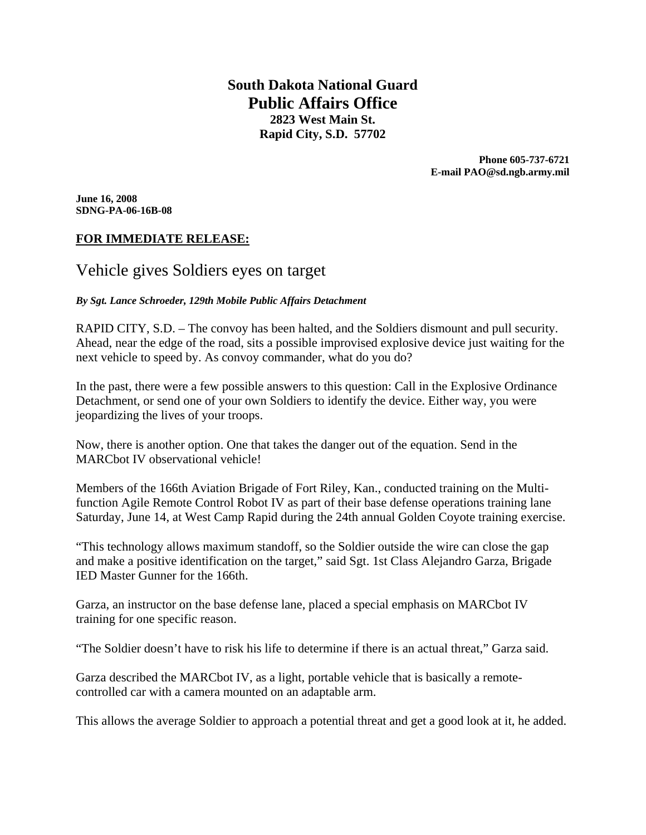**South Dakota National Guard Public Affairs Office 2823 West Main St. Rapid City, S.D. 57702** 

> **Phone 605-737-6721 E-mail PAO@sd.ngb.army.mil**

**June 16, 2008 SDNG-PA-06-16B-08** 

# **FOR IMMEDIATE RELEASE:**

# Vehicle gives Soldiers eyes on target

#### *By Sgt. Lance Schroeder, 129th Mobile Public Affairs Detachment*

RAPID CITY, S.D. – The convoy has been halted, and the Soldiers dismount and pull security. Ahead, near the edge of the road, sits a possible improvised explosive device just waiting for the next vehicle to speed by. As convoy commander, what do you do?

In the past, there were a few possible answers to this question: Call in the Explosive Ordinance Detachment, or send one of your own Soldiers to identify the device. Either way, you were jeopardizing the lives of your troops.

Now, there is another option. One that takes the danger out of the equation. Send in the MARCbot IV observational vehicle!

Members of the 166th Aviation Brigade of Fort Riley, Kan., conducted training on the Multifunction Agile Remote Control Robot IV as part of their base defense operations training lane Saturday, June 14, at West Camp Rapid during the 24th annual Golden Coyote training exercise.

"This technology allows maximum standoff, so the Soldier outside the wire can close the gap and make a positive identification on the target," said Sgt. 1st Class Alejandro Garza, Brigade IED Master Gunner for the 166th.

Garza, an instructor on the base defense lane, placed a special emphasis on MARCbot IV training for one specific reason.

"The Soldier doesn't have to risk his life to determine if there is an actual threat," Garza said.

Garza described the MARCbot IV, as a light, portable vehicle that is basically a remotecontrolled car with a camera mounted on an adaptable arm.

This allows the average Soldier to approach a potential threat and get a good look at it, he added.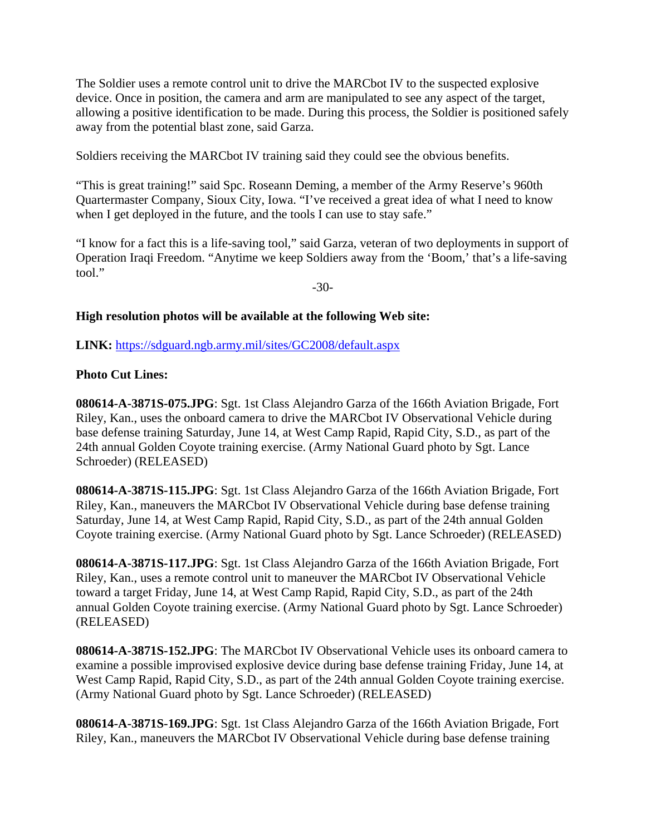The Soldier uses a remote control unit to drive the MARCbot IV to the suspected explosive device. Once in position, the camera and arm are manipulated to see any aspect of the target, allowing a positive identification to be made. During this process, the Soldier is positioned safely away from the potential blast zone, said Garza.

Soldiers receiving the MARCbot IV training said they could see the obvious benefits.

"This is great training!" said Spc. Roseann Deming, a member of the Army Reserve's 960th Quartermaster Company, Sioux City, Iowa. "I've received a great idea of what I need to know when I get deployed in the future, and the tools I can use to stay safe."

"I know for a fact this is a life-saving tool," said Garza, veteran of two deployments in support of Operation Iraqi Freedom. "Anytime we keep Soldiers away from the 'Boom,' that's a life-saving tool."

-30-

#### **High resolution photos will be available at the following Web site:**

**LINK:** https://sdguard.ngb.army.mil/sites/GC2008/default.aspx

# **Photo Cut Lines:**

**080614-A-3871S-075.JPG**: Sgt. 1st Class Alejandro Garza of the 166th Aviation Brigade, Fort Riley, Kan., uses the onboard camera to drive the MARCbot IV Observational Vehicle during base defense training Saturday, June 14, at West Camp Rapid, Rapid City, S.D., as part of the 24th annual Golden Coyote training exercise. (Army National Guard photo by Sgt. Lance Schroeder) (RELEASED)

**080614-A-3871S-115.JPG**: Sgt. 1st Class Alejandro Garza of the 166th Aviation Brigade, Fort Riley, Kan., maneuvers the MARCbot IV Observational Vehicle during base defense training Saturday, June 14, at West Camp Rapid, Rapid City, S.D., as part of the 24th annual Golden Coyote training exercise. (Army National Guard photo by Sgt. Lance Schroeder) (RELEASED)

**080614-A-3871S-117.JPG**: Sgt. 1st Class Alejandro Garza of the 166th Aviation Brigade, Fort Riley, Kan., uses a remote control unit to maneuver the MARCbot IV Observational Vehicle toward a target Friday, June 14, at West Camp Rapid, Rapid City, S.D., as part of the 24th annual Golden Coyote training exercise. (Army National Guard photo by Sgt. Lance Schroeder) (RELEASED)

**080614-A-3871S-152.JPG**: The MARCbot IV Observational Vehicle uses its onboard camera to examine a possible improvised explosive device during base defense training Friday, June 14, at West Camp Rapid, Rapid City, S.D., as part of the 24th annual Golden Coyote training exercise. (Army National Guard photo by Sgt. Lance Schroeder) (RELEASED)

**080614-A-3871S-169.JPG**: Sgt. 1st Class Alejandro Garza of the 166th Aviation Brigade, Fort Riley, Kan., maneuvers the MARCbot IV Observational Vehicle during base defense training